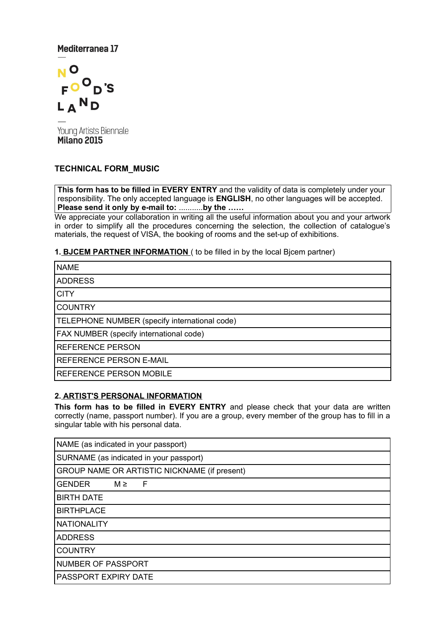# Mediterranea 17



Young Artists Biennale Milano 2015

## **TECHNICAL FORM\_MUSIC**

**This form has to be filled in EVERY ENTRY** and the validity of data is completely under your responsibility. The only accepted language is **ENGLISH**, no other languages will be accepted. **Please send it only by e-mail to:** ...........**by the ……**

We appreciate your collaboration in writing all the useful information about you and your artwork in order to simplify all the procedures concerning the selection, the collection of catalogue's materials, the request of VISA, the booking of rooms and the set-up of exhibitions.

**1. BJCEM PARTNER INFORMATION** ( to be filled in by the local Bjcem partner)

| <b>NAME</b>                                   |  |  |  |  |  |
|-----------------------------------------------|--|--|--|--|--|
| <b>ADDRESS</b>                                |  |  |  |  |  |
| <b>CITY</b>                                   |  |  |  |  |  |
| <b>COUNTRY</b>                                |  |  |  |  |  |
| TELEPHONE NUMBER (specify international code) |  |  |  |  |  |
| FAX NUMBER (specify international code)       |  |  |  |  |  |
| <b>REFERENCE PERSON</b>                       |  |  |  |  |  |
| <b>REFERENCE PERSON E-MAIL</b>                |  |  |  |  |  |
| REFERENCE PERSON MOBILE                       |  |  |  |  |  |

### **2. ARTIST'S PERSONAL INFORMATION**

**This form has to be filled in EVERY ENTRY** and please check that your data are written correctly (name, passport number). If you are a group, every member of the group has to fill in a singular table with his personal data.

| NAME (as indicated in your passport)         |  |  |  |  |  |  |
|----------------------------------------------|--|--|--|--|--|--|
| SURNAME (as indicated in your passport)      |  |  |  |  |  |  |
| GROUP NAME OR ARTISTIC NICKNAME (if present) |  |  |  |  |  |  |
| <b>GENDER</b><br>$M \ge$<br>- F              |  |  |  |  |  |  |
| <b>BIRTH DATE</b>                            |  |  |  |  |  |  |
| <b>BIRTHPLACE</b>                            |  |  |  |  |  |  |
| <b>NATIONALITY</b>                           |  |  |  |  |  |  |
| <b>ADDRESS</b>                               |  |  |  |  |  |  |
| <b>COUNTRY</b>                               |  |  |  |  |  |  |
| NUMBER OF PASSPORT                           |  |  |  |  |  |  |
| PASSPORT EXPIRY DATE                         |  |  |  |  |  |  |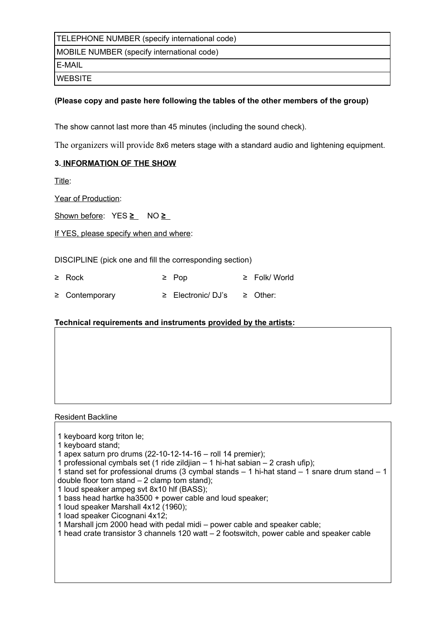TELEPHONE NUMBER (specify international code)

MOBILE NUMBER (specify international code)

E-MAIL

**WEBSITE** 

## **(Please copy and paste here following the tables of the other members of the group)**

The show cannot last more than 45 minutes (including the sound check).

The organizers will provide 8x6 meters stage with a standard audio and lightening equipment.

# **3. INFORMATION OF THE SHOW**

Title:

Year of Production:

Shown before:  $YES \geq NO \geq$ 

If YES, please specify when and where:

DISCIPLINE (pick one and fill the corresponding section)

| $\geq$ Rock         | $\geq$ Pop             | $\geq$ Folk/World |
|---------------------|------------------------|-------------------|
| $\geq$ Contemporary | $\geq$ Electronic/DJ's | ≥ Other:          |

# **Technical requirements and instruments provided by the artists:**

| Resident Backline |  |
|-------------------|--|
|-------------------|--|

| 1 keyboard korg triton le; |  |  |
|----------------------------|--|--|

- 1 keyboard stand;
- 1 apex saturn pro drums (22-10-12-14-16 roll 14 premier);
- 1 professional cymbals set (1 ride zildjian 1 hi-hat sabian 2 crash ufip);

1 stand set for professional drums (3 cymbal stands – 1 hi-hat stand – 1 snare drum stand – 1 double floor tom stand  $-2$  clamp tom stand);

1 loud speaker ampeg svt 8x10 hlf (BASS);

- 1 bass head hartke ha3500 + power cable and loud speaker;
- 1 loud speaker Marshall 4x12 (1960);
- 1 load speaker Cicognani 4x12;

1 Marshall jcm 2000 head with pedal midi – power cable and speaker cable;

1 head crate transistor 3 channels 120 watt – 2 footswitch, power cable and speaker cable